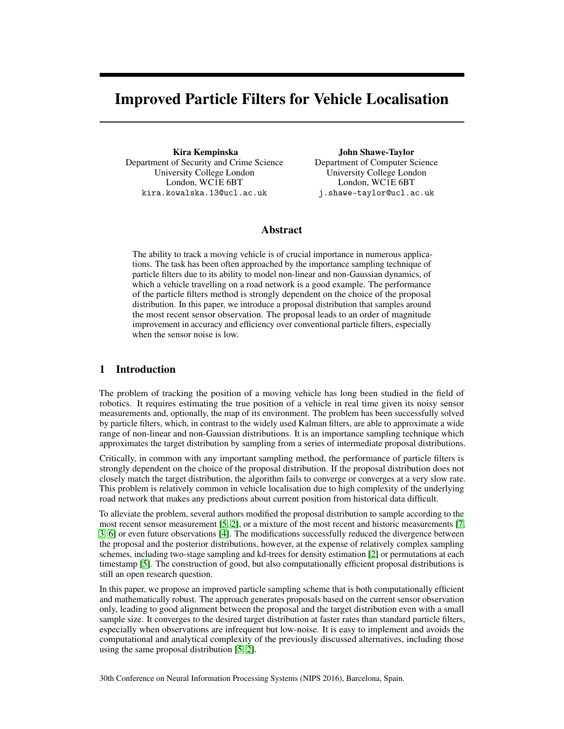# Improved Particle Filters for Vehicle Localisation

Kira Kempinska Department of Security and Crime Science University College London London, WC1E 6BT kira.kowalska.13@ucl.ac.uk

John Shawe-Taylor Department of Computer Science University College London London, WC1E 6BT j.shawe-taylor@ucl.ac.uk

### Abstract

The ability to track a moving vehicle is of crucial importance in numerous applications. The task has been often approached by the importance sampling technique of particle filters due to its ability to model non-linear and non-Gaussian dynamics, of which a vehicle travelling on a road network is a good example. The performance of the particle filters method is strongly dependent on the choice of the proposal distribution. In this paper, we introduce a proposal distribution that samples around the most recent sensor observation. The proposal leads to an order of magnitude improvement in accuracy and efficiency over conventional particle filters, especially when the sensor noise is low.

## 1 Introduction

The problem of tracking the position of a moving vehicle has long been studied in the field of robotics. It requires estimating the true position of a vehicle in real time given its noisy sensor measurements and, optionally, the map of its environment. The problem has been successfully solved by particle filters, which, in contrast to the widely used Kalman filters, are able to approximate a wide range of non-linear and non-Gaussian distributions. It is an importance sampling technique which approximates the target distribution by sampling from a series of intermediate proposal distributions.

Critically, in common with any important sampling method, the performance of particle filters is strongly dependent on the choice of the proposal distribution. If the proposal distribution does not closely match the target distribution, the algorithm fails to converge or converges at a very slow rate. This problem is relatively common in vehicle localisation due to high complexity of the underlying road network that makes any predictions about current position from historical data difficult.

To alleviate the problem, several authors modified the proposal distribution to sample according to the most recent sensor measurement [\[5,](#page-4-0) [2\]](#page-3-0), or a mixture of the most recent and historic measurements [\[7,](#page-4-1) [3,](#page-3-1) [6\]](#page-4-2) or even future observations [\[4\]](#page-4-3). The modifications successfully reduced the divergence between the proposal and the posterior distributions, however, at the expense of relatively complex sampling schemes, including two-stage sampling and kd-trees for density estimation [\[2\]](#page-3-0) or permutations at each timestamp [\[5\]](#page-4-0). The construction of good, but also computationally efficient proposal distributions is still an open research question.

In this paper, we propose an improved particle sampling scheme that is both computationally efficient and mathematically robust. The approach generates proposals based on the current sensor observation only, leading to good alignment between the proposal and the target distribution even with a small sample size. It converges to the desired target distribution at faster rates than standard particle filters, especially when observations are infrequent but low-noise. It is easy to implement and avoids the computational and analytical complexity of the previously discussed alternatives, including those using the same proposal distribution [\[5,](#page-4-0) [2\]](#page-3-0).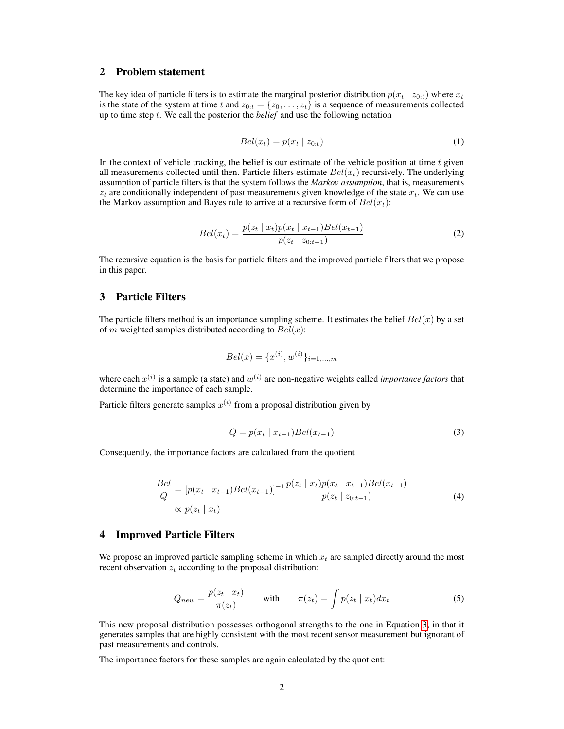#### 2 Problem statement

The key idea of particle filters is to estimate the marginal posterior distribution  $p(x_t | z_{0:t})$  where  $x_t$ is the state of the system at time t and  $z_{0:t} = \{z_0, \ldots, z_t\}$  is a sequence of measurements collected up to time step t. We call the posterior the *belief* and use the following notation

$$
Bel(x_t) = p(x_t \mid z_{0:t}) \tag{1}
$$

In the context of vehicle tracking, the belief is our estimate of the vehicle position at time  $t$  given all measurements collected until then. Particle filters estimate  $Bel(x_t)$  recursively. The underlying assumption of particle filters is that the system follows the *Markov assumption*, that is, measurements  $z_t$  are conditionally independent of past measurements given knowledge of the state  $x_t$ . We can use the Markov assumption and Bayes rule to arrive at a recursive form of  $Bel(x_t)$ :

$$
Bel(x_t) = \frac{p(z_t \mid x_t)p(x_t \mid x_{t-1})Bel(x_{t-1})}{p(z_t \mid z_{0:t-1})}
$$
\n(2)

The recursive equation is the basis for particle filters and the improved particle filters that we propose in this paper.

### 3 Particle Filters

The particle filters method is an importance sampling scheme. It estimates the belief  $Bel(x)$  by a set of m weighted samples distributed according to  $Bel(x)$ :

$$
Bel(x) = \{x^{(i)}, w^{(i)}\}_{i=1,\dots,m}
$$

where each  $x^{(i)}$  is a sample (a state) and  $w^{(i)}$  are non-negative weights called *importance factors* that determine the importance of each sample.

<span id="page-1-0"></span>Particle filters generate samples  $x^{(i)}$  from a proposal distribution given by

$$
Q = p(x_t | x_{t-1})Bel(x_{t-1})
$$
\n(3)

Consequently, the importance factors are calculated from the quotient

$$
\frac{Bel}{Q} = [p(x_t | x_{t-1})Bel(x_{t-1})]^{-1} \frac{p(z_t | x_t) p(x_t | x_{t-1}) Bel(x_{t-1})}{p(z_t | z_{0:t-1})}
$$
\n
$$
\propto p(z_t | x_t)
$$
\n(4)

#### 4 Improved Particle Filters

We propose an improved particle sampling scheme in which  $x_t$  are sampled directly around the most recent observation  $z_t$  according to the proposal distribution:

$$
Q_{new} = \frac{p(z_t \mid x_t)}{\pi(z_t)} \qquad \text{with} \qquad \pi(z_t) = \int p(z_t \mid x_t) dx_t \tag{5}
$$

This new proposal distribution possesses orthogonal strengths to the one in Equation [3,](#page-1-0) in that it generates samples that are highly consistent with the most recent sensor measurement but ignorant of past measurements and controls.

The importance factors for these samples are again calculated by the quotient: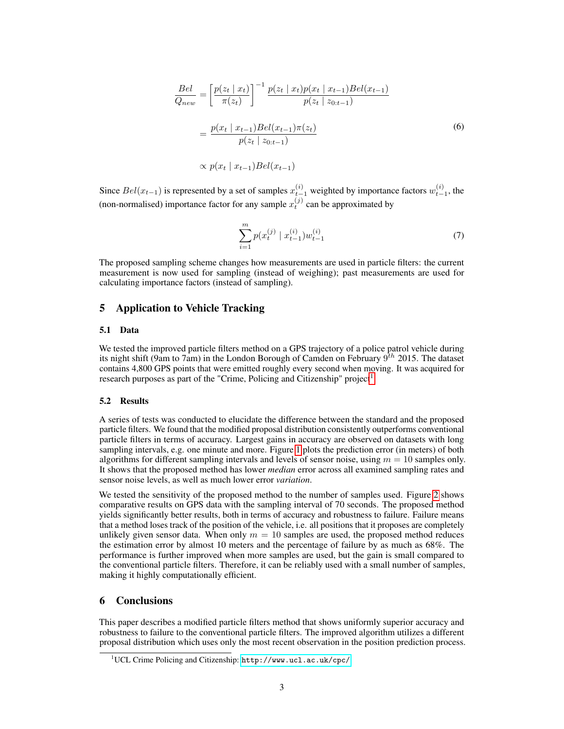$$
\frac{Bel}{Q_{new}} = \left[ \frac{p(z_t \mid x_t)}{\pi(z_t)} \right]^{-1} \frac{p(z_t \mid x_t) p(x_t \mid x_{t-1}) Bel(x_{t-1})}{p(z_t \mid z_{0:t-1})}
$$
\n
$$
= \frac{p(x_t \mid x_{t-1}) Bel(x_{t-1}) \pi(z_t)}{p(z_t \mid z_{0:t-1})}
$$
\n
$$
\propto p(x_t \mid x_{t-1}) Bel(x_{t-1})
$$
\n(6)

Since  $Bel(x_{t-1})$  is represented by a set of samples  $x_{t-1}^{(i)}$  weighted by importance factors  $w_{t-1}^{(i)}$ , the (non-normalised) importance factor for any sample  $x_t^{(j)}$  can be approximated by

$$
\sum_{i=1}^{m} p(x_t^{(j)} \mid x_{t-1}^{(i)}) w_{t-1}^{(i)} \tag{7}
$$

The proposed sampling scheme changes how measurements are used in particle filters: the current measurement is now used for sampling (instead of weighing); past measurements are used for calculating importance factors (instead of sampling).

#### 5 Application to Vehicle Tracking

#### 5.1 Data

We tested the improved particle filters method on a GPS trajectory of a police patrol vehicle during its night shift (9am to 7am) in the London Borough of Camden on February  $9^{th}$  2015. The dataset contains 4,800 GPS points that were emitted roughly every second when moving. It was acquired for research purposes as part of the "Crime, Policing and Citizenship" project<sup>[1](#page-2-0)</sup>.

#### 5.2 Results

A series of tests was conducted to elucidate the difference between the standard and the proposed particle filters. We found that the modified proposal distribution consistently outperforms conventional particle filters in terms of accuracy. Largest gains in accuracy are observed on datasets with long sampling intervals, e.g. one minute and more. Figure [1](#page-3-2) plots the prediction error (in meters) of both algorithms for different sampling intervals and levels of sensor noise, using  $m = 10$  samples only. It shows that the proposed method has lower *median* error across all examined sampling rates and sensor noise levels, as well as much lower error *variation*.

We tested the sensitivity of the proposed method to the number of samples used. Figure [2](#page-3-3) shows comparative results on GPS data with the sampling interval of 70 seconds. The proposed method yields significantly better results, both in terms of accuracy and robustness to failure. Failure means that a method loses track of the position of the vehicle, i.e. all positions that it proposes are completely unlikely given sensor data. When only  $m = 10$  samples are used, the proposed method reduces the estimation error by almost 10 meters and the percentage of failure by as much as 68%. The performance is further improved when more samples are used, but the gain is small compared to the conventional particle filters. Therefore, it can be reliably used with a small number of samples, making it highly computationally efficient.

#### 6 Conclusions

This paper describes a modified particle filters method that shows uniformly superior accuracy and robustness to failure to the conventional particle filters. The improved algorithm utilizes a different proposal distribution which uses only the most recent observation in the position prediction process.

<span id="page-2-0"></span><sup>1</sup>UCL Crime Policing and Citizenship: <http://www.ucl.ac.uk/cpc/>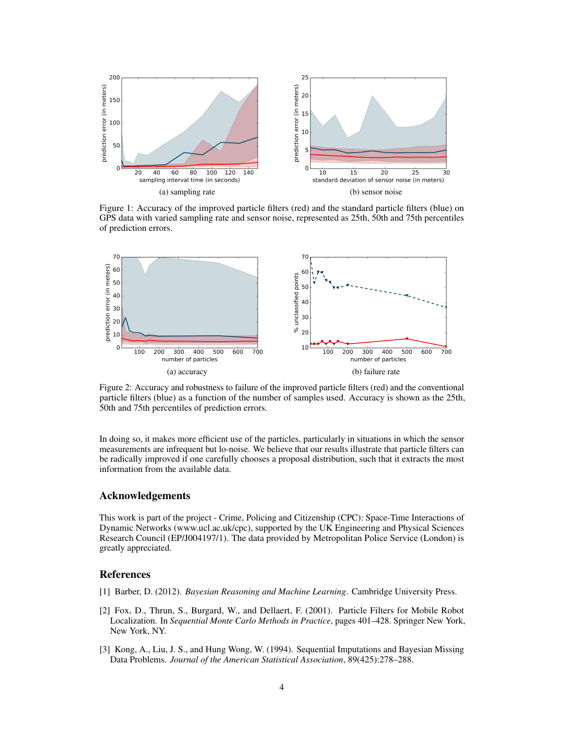<span id="page-3-2"></span>

Figure 1: Accuracy of the improved particle filters (red) and the standard particle filters (blue) on GPS data with varied sampling rate and sensor noise, represented as 25th, 50th and 75th percentiles of prediction errors.

<span id="page-3-3"></span>

Figure 2: Accuracy and robustness to failure of the improved particle filters (red) and the conventional particle filters (blue) as a function of the number of samples used. Accuracy is shown as the 25th, 50th and 75th percentiles of prediction errors.

In doing so, it makes more efficient use of the particles, particularly in situations in which the sensor measurements are infrequent but lo-noise. We believe that our results illustrate that particle filters can be radically improved if one carefully chooses a proposal distribution, such that it extracts the most information from the available data.

#### Acknowledgements

This work is part of the project - Crime, Policing and Citizenship (CPC): Space-Time Interactions of Dynamic Networks (www.ucl.ac.uk/cpc), supported by the UK Engineering and Physical Sciences Research Council (EP/J004197/1). The data provided by Metropolitan Police Service (London) is greatly appreciated.

#### References

- [1] Barber, D. (2012). *Bayesian Reasoning and Machine Learning*. Cambridge University Press.
- <span id="page-3-0"></span>[2] Fox, D., Thrun, S., Burgard, W., and Dellaert, F. (2001). Particle Filters for Mobile Robot Localization. In *Sequential Monte Carlo Methods in Practice*, pages 401–428. Springer New York, New York, NY.
- <span id="page-3-1"></span>[3] Kong, A., Liu, J. S., and Hung Wong, W. (1994). Sequential Imputations and Bayesian Missing Data Problems. *Journal of the American Statistical Association*, 89(425):278–288.